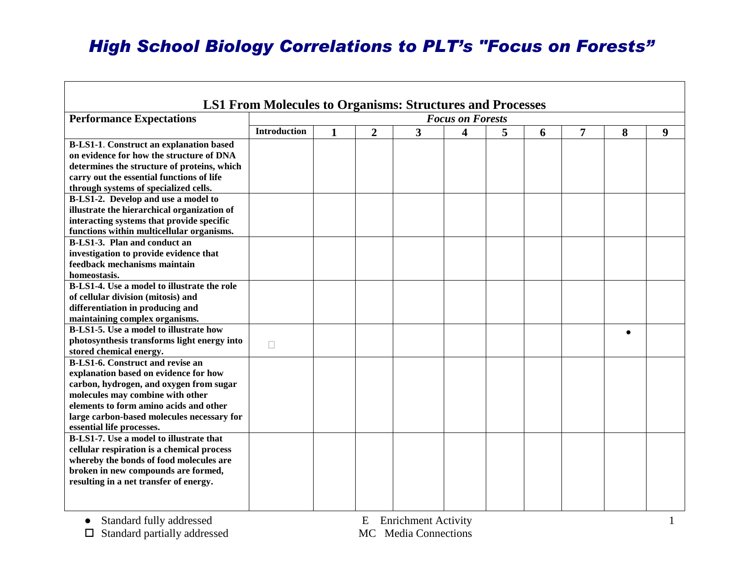## *High School Biology Correlations to PLT's "Focus on Forests"*

| <b>LS1 From Molecules to Organisms: Structures and Processes</b>                                                                                                                                                                                                                     |                         |              |                  |              |                         |   |   |   |   |   |
|--------------------------------------------------------------------------------------------------------------------------------------------------------------------------------------------------------------------------------------------------------------------------------------|-------------------------|--------------|------------------|--------------|-------------------------|---|---|---|---|---|
| <b>Performance Expectations</b>                                                                                                                                                                                                                                                      | <b>Focus on Forests</b> |              |                  |              |                         |   |   |   |   |   |
|                                                                                                                                                                                                                                                                                      | <b>Introduction</b>     | $\mathbf{1}$ | $\boldsymbol{2}$ | $\mathbf{3}$ | $\overline{\mathbf{4}}$ | 5 | 6 | 7 | 8 | 9 |
| <b>B-LS1-1.</b> Construct an explanation based<br>on evidence for how the structure of DNA<br>determines the structure of proteins, which<br>carry out the essential functions of life                                                                                               |                         |              |                  |              |                         |   |   |   |   |   |
| through systems of specialized cells.<br>B-LS1-2. Develop and use a model to<br>illustrate the hierarchical organization of<br>interacting systems that provide specific<br>functions within multicellular organisms.                                                                |                         |              |                  |              |                         |   |   |   |   |   |
| B-LS1-3. Plan and conduct an<br>investigation to provide evidence that<br>feedback mechanisms maintain<br>homeostasis.                                                                                                                                                               |                         |              |                  |              |                         |   |   |   |   |   |
| B-LS1-4. Use a model to illustrate the role<br>of cellular division (mitosis) and<br>differentiation in producing and<br>maintaining complex organisms.                                                                                                                              |                         |              |                  |              |                         |   |   |   |   |   |
| B-LS1-5. Use a model to illustrate how<br>photosynthesis transforms light energy into<br>stored chemical energy.                                                                                                                                                                     | П                       |              |                  |              |                         |   |   |   |   |   |
| <b>B-LS1-6.</b> Construct and revise an<br>explanation based on evidence for how<br>carbon, hydrogen, and oxygen from sugar<br>molecules may combine with other<br>elements to form amino acids and other<br>large carbon-based molecules necessary for<br>essential life processes. |                         |              |                  |              |                         |   |   |   |   |   |
| <b>B-LS1-7.</b> Use a model to illustrate that<br>cellular respiration is a chemical process<br>whereby the bonds of food molecules are<br>broken in new compounds are formed,<br>resulting in a net transfer of energy.                                                             |                         |              |                  |              |                         |   |   |   |   |   |

г

● Standard fully addressed<br>
□ Standard partially addressed<br>
□ Standard partially addressed<br>
□ MC Media Connections  $\square$  Standard partially addressed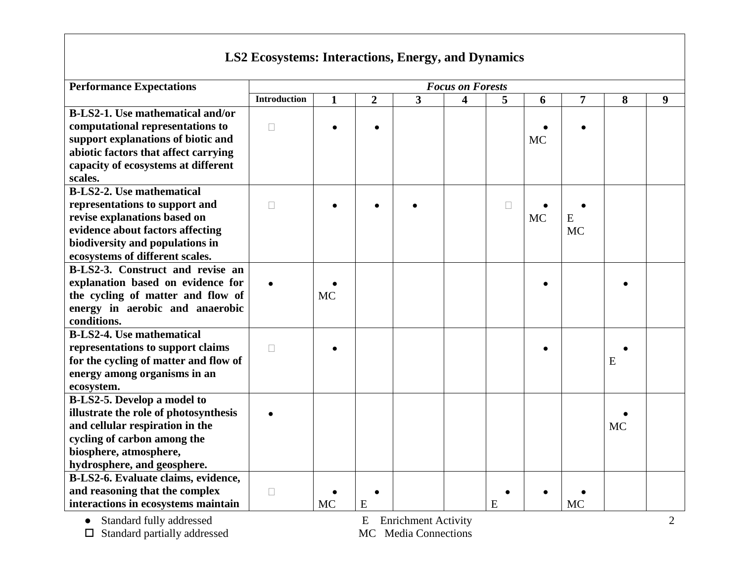## **LS2 Ecosystems: Interactions, Energy, and Dynamics**

| <b>Performance Expectations</b>         | <b>Focus on Forests</b> |              |                |                |                         |        |           |           |           |   |
|-----------------------------------------|-------------------------|--------------|----------------|----------------|-------------------------|--------|-----------|-----------|-----------|---|
|                                         | <b>Introduction</b>     | $\mathbf{1}$ | $\overline{2}$ | $\overline{3}$ | $\overline{\mathbf{4}}$ | 5      | 6         | 7         | 8         | 9 |
| <b>B-LS2-1.</b> Use mathematical and/or |                         |              |                |                |                         |        |           |           |           |   |
| computational representations to        | $\Box$                  |              |                |                |                         |        |           |           |           |   |
| support explanations of biotic and      |                         |              |                |                |                         |        | <b>MC</b> |           |           |   |
| abiotic factors that affect carrying    |                         |              |                |                |                         |        |           |           |           |   |
| capacity of ecosystems at different     |                         |              |                |                |                         |        |           |           |           |   |
| scales.                                 |                         |              |                |                |                         |        |           |           |           |   |
| <b>B-LS2-2.</b> Use mathematical        |                         |              |                |                |                         |        |           |           |           |   |
| representations to support and          | $\Box$                  |              |                |                |                         | $\Box$ |           |           |           |   |
| revise explanations based on            |                         |              |                |                |                         |        | <b>MC</b> | E         |           |   |
| evidence about factors affecting        |                         |              |                |                |                         |        |           | <b>MC</b> |           |   |
| biodiversity and populations in         |                         |              |                |                |                         |        |           |           |           |   |
| ecosystems of different scales.         |                         |              |                |                |                         |        |           |           |           |   |
| B-LS2-3. Construct and revise an        |                         |              |                |                |                         |        |           |           |           |   |
| explanation based on evidence for       |                         |              |                |                |                         |        |           |           |           |   |
| the cycling of matter and flow of       |                         | <b>MC</b>    |                |                |                         |        |           |           |           |   |
| energy in aerobic and anaerobic         |                         |              |                |                |                         |        |           |           |           |   |
| conditions.                             |                         |              |                |                |                         |        |           |           |           |   |
| <b>B-LS2-4.</b> Use mathematical        |                         |              |                |                |                         |        |           |           |           |   |
| representations to support claims       | $\Box$                  |              |                |                |                         |        |           |           |           |   |
| for the cycling of matter and flow of   |                         |              |                |                |                         |        |           |           | E         |   |
| energy among organisms in an            |                         |              |                |                |                         |        |           |           |           |   |
| ecosystem.                              |                         |              |                |                |                         |        |           |           |           |   |
| B-LS2-5. Develop a model to             |                         |              |                |                |                         |        |           |           |           |   |
| illustrate the role of photosynthesis   |                         |              |                |                |                         |        |           |           |           |   |
| and cellular respiration in the         |                         |              |                |                |                         |        |           |           | <b>MC</b> |   |
| cycling of carbon among the             |                         |              |                |                |                         |        |           |           |           |   |
| biosphere, atmosphere,                  |                         |              |                |                |                         |        |           |           |           |   |
| hydrosphere, and geosphere.             |                         |              |                |                |                         |        |           |           |           |   |
| B-LS2-6. Evaluate claims, evidence,     |                         |              |                |                |                         |        |           |           |           |   |
| and reasoning that the complex          | $\Box$                  |              |                |                |                         |        |           |           |           |   |
| interactions in ecosystems maintain     |                         | <b>MC</b>    | E              |                |                         | E      |           | <b>MC</b> |           |   |

● Standard fully addressed<br>
□ Standard partially addressed<br>
□ Standard partially addressed<br>
I Standard partially addressed<br>
I MC Media Connections  $\square$  Standard partially addressed

2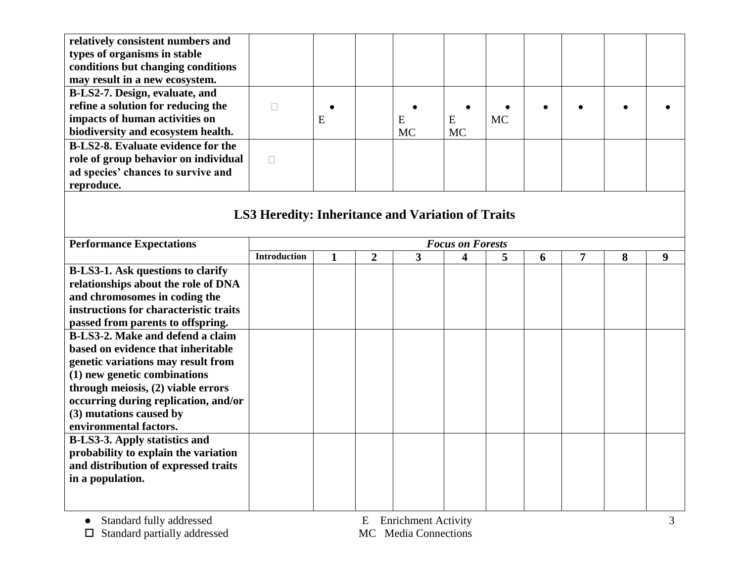| relatively consistent numbers and         |                                                          |              |                |           |                         |           |   |                |   |   |
|-------------------------------------------|----------------------------------------------------------|--------------|----------------|-----------|-------------------------|-----------|---|----------------|---|---|
| types of organisms in stable              |                                                          |              |                |           |                         |           |   |                |   |   |
| conditions but changing conditions        |                                                          |              |                |           |                         |           |   |                |   |   |
| may result in a new ecosystem.            |                                                          |              |                |           |                         |           |   |                |   |   |
| B-LS2-7. Design, evaluate, and            |                                                          |              |                |           |                         |           |   |                |   |   |
| refine a solution for reducing the        | $\Box$                                                   |              |                |           |                         |           |   |                |   |   |
| impacts of human activities on            |                                                          | E            |                | E         | E                       | <b>MC</b> |   |                |   |   |
| biodiversity and ecosystem health.        |                                                          |              |                | <b>MC</b> | <b>MC</b>               |           |   |                |   |   |
| <b>B-LS2-8.</b> Evaluate evidence for the |                                                          |              |                |           |                         |           |   |                |   |   |
| role of group behavior on individual      | $\Box$                                                   |              |                |           |                         |           |   |                |   |   |
| ad species' chances to survive and        |                                                          |              |                |           |                         |           |   |                |   |   |
| reproduce.                                |                                                          |              |                |           |                         |           |   |                |   |   |
|                                           |                                                          |              |                |           |                         |           |   |                |   |   |
|                                           | <b>LS3 Heredity: Inheritance and Variation of Traits</b> |              |                |           |                         |           |   |                |   |   |
|                                           |                                                          |              |                |           |                         |           |   |                |   |   |
|                                           |                                                          |              |                |           |                         |           |   |                |   |   |
| <b>Performance Expectations</b>           |                                                          |              |                |           | <b>Focus on Forests</b> |           |   |                |   |   |
|                                           | <b>Introduction</b>                                      | $\mathbf{1}$ | $\overline{2}$ | 3         | 4                       | 5         | 6 | $\overline{7}$ | 8 | 9 |
| <b>B-LS3-1. Ask questions to clarify</b>  |                                                          |              |                |           |                         |           |   |                |   |   |
| relationships about the role of DNA       |                                                          |              |                |           |                         |           |   |                |   |   |
| and chromosomes in coding the             |                                                          |              |                |           |                         |           |   |                |   |   |
| instructions for characteristic traits    |                                                          |              |                |           |                         |           |   |                |   |   |
| passed from parents to offspring.         |                                                          |              |                |           |                         |           |   |                |   |   |
| B-LS3-2. Make and defend a claim          |                                                          |              |                |           |                         |           |   |                |   |   |
| based on evidence that inheritable        |                                                          |              |                |           |                         |           |   |                |   |   |
| genetic variations may result from        |                                                          |              |                |           |                         |           |   |                |   |   |
| (1) new genetic combinations              |                                                          |              |                |           |                         |           |   |                |   |   |
| through meiosis, (2) viable errors        |                                                          |              |                |           |                         |           |   |                |   |   |
| occurring during replication, and/or      |                                                          |              |                |           |                         |           |   |                |   |   |
| (3) mutations caused by                   |                                                          |              |                |           |                         |           |   |                |   |   |
| environmental factors.                    |                                                          |              |                |           |                         |           |   |                |   |   |
| <b>B-LS3-3. Apply statistics and</b>      |                                                          |              |                |           |                         |           |   |                |   |   |
| probability to explain the variation      |                                                          |              |                |           |                         |           |   |                |   |   |
| and distribution of expressed traits      |                                                          |              |                |           |                         |           |   |                |   |   |
| in a population.                          |                                                          |              |                |           |                         |           |   |                |   |   |
|                                           |                                                          |              |                |           |                         |           |   |                |   |   |
|                                           |                                                          |              |                |           |                         |           |   |                |   |   |

● Standard fully addressed E Enrichment Activity

 $\square$  Standard partially addressed MC Media Connections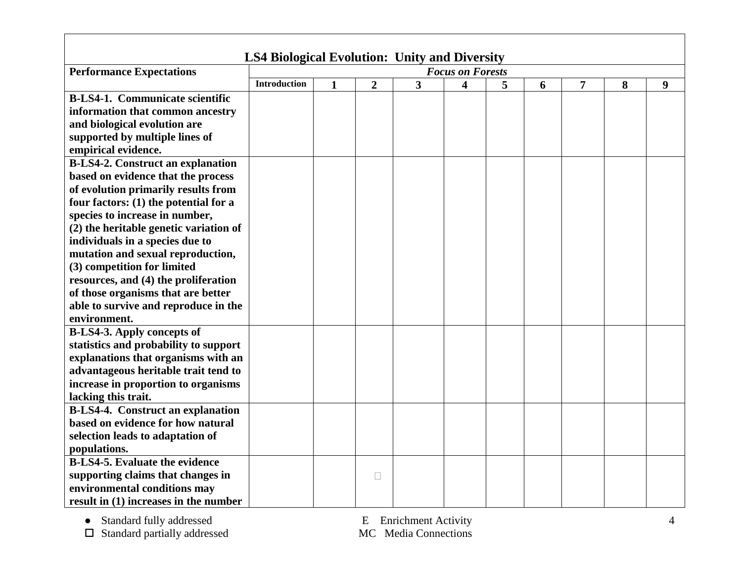| <b>LS4 Biological Evolution: Unity and Diversity</b> |                                                                     |  |        |  |  |  |  |   |   |  |
|------------------------------------------------------|---------------------------------------------------------------------|--|--------|--|--|--|--|---|---|--|
| <b>Performance Expectations</b>                      | <b>Focus on Forests</b>                                             |  |        |  |  |  |  |   |   |  |
|                                                      | <b>Introduction</b><br>5<br>$\overline{2}$<br>3<br>4<br>7<br>6<br>1 |  |        |  |  |  |  | 8 | 9 |  |
| <b>B-LS4-1. Communicate scientific</b>               |                                                                     |  |        |  |  |  |  |   |   |  |
| information that common ancestry                     |                                                                     |  |        |  |  |  |  |   |   |  |
| and biological evolution are                         |                                                                     |  |        |  |  |  |  |   |   |  |
| supported by multiple lines of                       |                                                                     |  |        |  |  |  |  |   |   |  |
| empirical evidence.                                  |                                                                     |  |        |  |  |  |  |   |   |  |
| <b>B-LS4-2. Construct an explanation</b>             |                                                                     |  |        |  |  |  |  |   |   |  |
| based on evidence that the process                   |                                                                     |  |        |  |  |  |  |   |   |  |
| of evolution primarily results from                  |                                                                     |  |        |  |  |  |  |   |   |  |
| four factors: (1) the potential for a                |                                                                     |  |        |  |  |  |  |   |   |  |
| species to increase in number,                       |                                                                     |  |        |  |  |  |  |   |   |  |
| (2) the heritable genetic variation of               |                                                                     |  |        |  |  |  |  |   |   |  |
| individuals in a species due to                      |                                                                     |  |        |  |  |  |  |   |   |  |
| mutation and sexual reproduction,                    |                                                                     |  |        |  |  |  |  |   |   |  |
| (3) competition for limited                          |                                                                     |  |        |  |  |  |  |   |   |  |
| resources, and (4) the proliferation                 |                                                                     |  |        |  |  |  |  |   |   |  |
| of those organisms that are better                   |                                                                     |  |        |  |  |  |  |   |   |  |
| able to survive and reproduce in the                 |                                                                     |  |        |  |  |  |  |   |   |  |
| environment.                                         |                                                                     |  |        |  |  |  |  |   |   |  |
| <b>B-LS4-3. Apply concepts of</b>                    |                                                                     |  |        |  |  |  |  |   |   |  |
| statistics and probability to support                |                                                                     |  |        |  |  |  |  |   |   |  |
| explanations that organisms with an                  |                                                                     |  |        |  |  |  |  |   |   |  |
| advantageous heritable trait tend to                 |                                                                     |  |        |  |  |  |  |   |   |  |
| increase in proportion to organisms                  |                                                                     |  |        |  |  |  |  |   |   |  |
| lacking this trait.                                  |                                                                     |  |        |  |  |  |  |   |   |  |
| <b>B-LS4-4.</b> Construct an explanation             |                                                                     |  |        |  |  |  |  |   |   |  |
| based on evidence for how natural                    |                                                                     |  |        |  |  |  |  |   |   |  |
| selection leads to adaptation of                     |                                                                     |  |        |  |  |  |  |   |   |  |
| populations.                                         |                                                                     |  |        |  |  |  |  |   |   |  |
| <b>B-LS4-5. Evaluate the evidence</b>                |                                                                     |  |        |  |  |  |  |   |   |  |
| supporting claims that changes in                    |                                                                     |  | $\Box$ |  |  |  |  |   |   |  |
| environmental conditions may                         |                                                                     |  |        |  |  |  |  |   |   |  |
| result in $(1)$ increases in the number              |                                                                     |  |        |  |  |  |  |   |   |  |

● Standard fully addressed E Enrichment Activity

 $\square$  Standard partially addressed MC Media Connections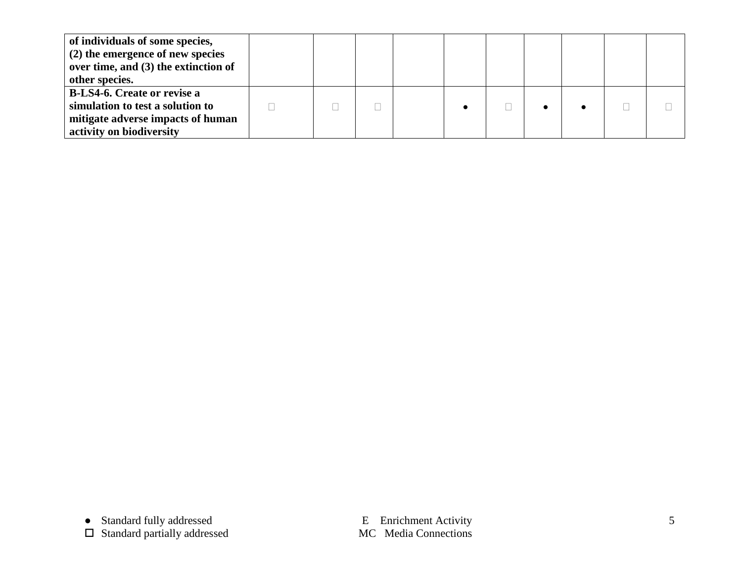| of individuals of some species,<br>(2) the emergence of new species<br>over time, and (3) the extinction of<br>other species.           |  |  |  |  |  |
|-----------------------------------------------------------------------------------------------------------------------------------------|--|--|--|--|--|
| <b>B-LS4-6. Create or revise a</b><br>simulation to test a solution to<br>mitigate adverse impacts of human<br>activity on biodiversity |  |  |  |  |  |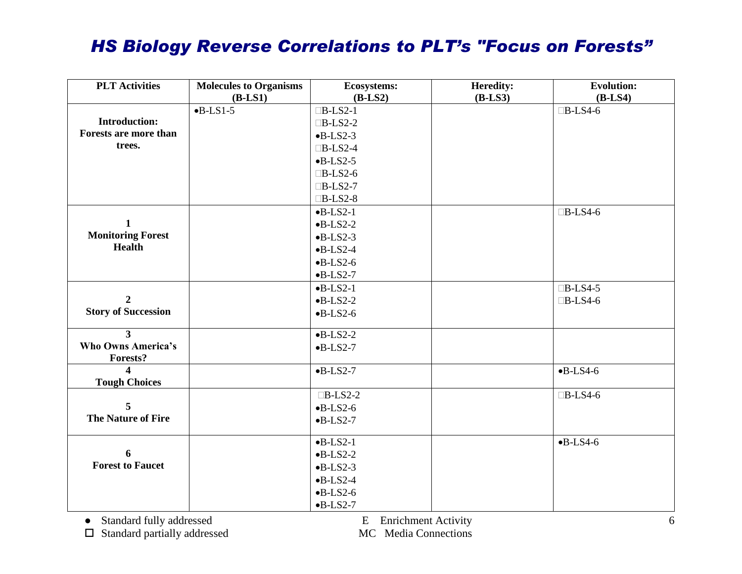## *HS Biology Reverse Correlations to PLT's "Focus on Forests"*

| <b>PLT</b> Activities      | <b>Molecules to Organisms</b> | <b>Ecosystems:</b>       | Heredity: | <b>Evolution:</b> |
|----------------------------|-------------------------------|--------------------------|-----------|-------------------|
|                            | $(B-LS1)$                     | $(B-LS2)$                | $(B-LS3)$ | $(B-LS4)$         |
|                            | $-B-LS1-5$                    | $\Box B$ -LS2-1          |           | $\Box B$ -LS4-6   |
| <b>Introduction:</b>       |                               | $\Box B$ -LS2-2          |           |                   |
| Forests are more than      |                               | $-B-LS2-3$               |           |                   |
| trees.                     |                               | $\Box B$ -LS2-4          |           |                   |
|                            |                               | $-B-LS2-5$               |           |                   |
|                            |                               | $\Box B$ -LS2-6          |           |                   |
|                            |                               | $\Box B$ -LS2-7          |           |                   |
|                            |                               | $\Box B$ -LS2-8          |           |                   |
|                            |                               | $-B-LS2-1$               |           | $\Box B$ -LS4-6   |
| 1                          |                               | $-B-LS2-2$               |           |                   |
| <b>Monitoring Forest</b>   |                               | $-B-LS2-3$               |           |                   |
| <b>Health</b>              |                               | $-B$ -LS2-4              |           |                   |
|                            |                               | $-B-LS2-6$               |           |                   |
|                            |                               | $-B-LS2-7$               |           |                   |
|                            |                               | $-B-LS2-1$               |           | $\Box B$ -LS4-5   |
| $\overline{2}$             |                               | $-B-LS2-2$               |           | $\Box B$ -LS4-6   |
| <b>Story of Succession</b> |                               | $-B-LS2-6$               |           |                   |
| 3                          |                               | $-B-LS2-2$               |           |                   |
| <b>Who Owns America's</b>  |                               | $-B-LS2-7$               |           |                   |
| <b>Forests?</b>            |                               |                          |           |                   |
| $\overline{\mathbf{4}}$    |                               | $-B-LS2-7$               |           | $-B-LS4-6$        |
| <b>Tough Choices</b>       |                               |                          |           |                   |
|                            |                               | $\Box B$ -LS2-2          |           | $\Box B$ -LS4-6   |
| 5                          |                               | $-B-LS2-6$               |           |                   |
| <b>The Nature of Fire</b>  |                               | $-B-LS2-7$               |           |                   |
|                            |                               |                          |           | $-B-LS4-6$        |
| 6                          |                               | $-B-LS2-1$               |           |                   |
| <b>Forest to Faucet</b>    |                               | $-B-LS2-2$<br>$-B-LS2-3$ |           |                   |
|                            |                               |                          |           |                   |
|                            |                               | $-B$ -LS2-4              |           |                   |
|                            |                               | $-B-LS2-6$               |           |                   |
|                            |                               | $-B-LS2-7$               |           |                   |

● Standard fully addressed<br>
□ Standard partially addressed<br>
□ Standard partially addressed<br>
□ MC Media Connections  $\square$  Standard partially addressed